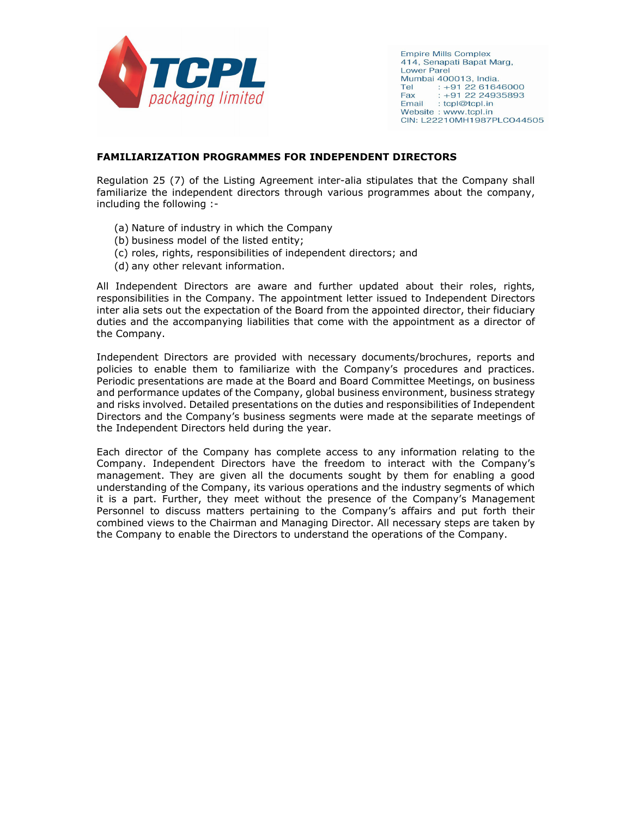

**Empire Mills Complex** 414, Senapati Bapat Marg, **Lower Parel** Mumbai 400013, India.  $: +912261646000$ Tel  $: +912224935893$ Fax Email : tcpl@tcpl.in Website: www.tcpl.in CIN: L22210MH1987PLC044505

### **FAMILIARIZATION PROGRAMMES FOR INDEPENDENT DIRECTORS**

Regulation 25 (7) of the Listing Agreement inter-alia stipulates that the Company shall familiarize the independent directors through various programmes about the company, including the following :-

- (a) Nature of industry in which the Company
- (b) business model of the listed entity;
- (c) roles, rights, responsibilities of independent directors; and
- (d) any other relevant information.

All Independent Directors are aware and further updated about their roles, rights, responsibilities in the Company. The appointment letter issued to Independent Directors inter alia sets out the expectation of the Board from the appointed director, their fiduciary duties and the accompanying liabilities that come with the appointment as a director of the Company.

Independent Directors are provided with necessary documents/brochures, reports and policies to enable them to familiarize with the Company's procedures and practices. Periodic presentations are made at the Board and Board Committee Meetings, on business and performance updates of the Company, global business environment, business strategy and risks involved. Detailed presentations on the duties and responsibilities of Independent Directors and the Company's business segments were made at the separate meetings of the Independent Directors held during the year.

Each director of the Company has complete access to any information relating to the Company. Independent Directors have the freedom to interact with the Company's management. They are given all the documents sought by them for enabling a good understanding of the Company, its various operations and the industry segments of which it is a part. Further, they meet without the presence of the Company's Management Personnel to discuss matters pertaining to the Company's affairs and put forth their combined views to the Chairman and Managing Director. All necessary steps are taken by the Company to enable the Directors to understand the operations of the Company.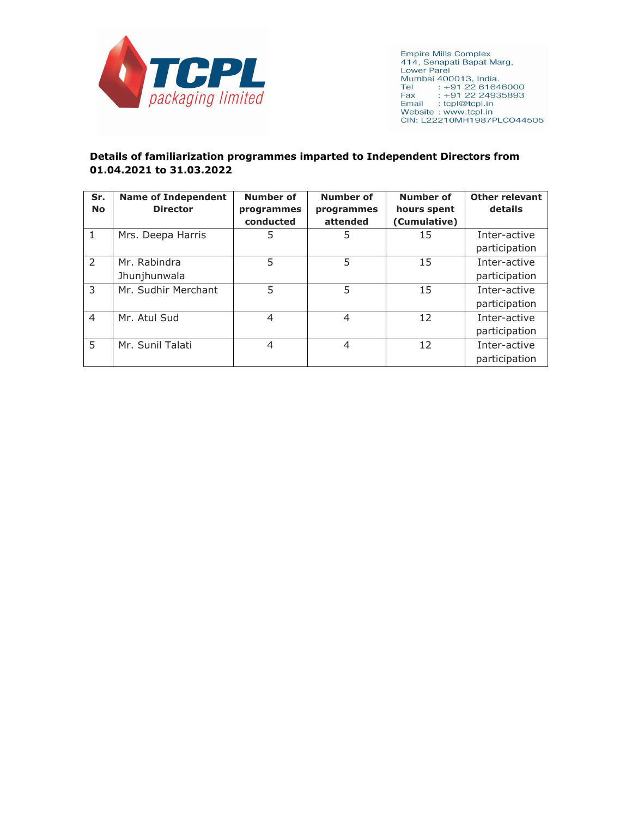

**Empire Mills Complex** 414, Senapati Bapat Marg, ----, Johna Bapat Mary,<br>
Lower Parel<br>
Mumbai 400013, India.<br>
Tel : --91 22 61646000<br>
Fax : --91 22 24935893<br>
Email : tcpl@tcpl.in Website: www.tcpl.in CIN: L22210MH1987PLC044505

## **Details of familiarization programmes imparted to Independent Directors from 01.04.2021 to 31.03.2022**

| Sr.<br><b>No</b> | <b>Name of Independent</b><br><b>Director</b> | <b>Number of</b><br>programmes<br>conducted | <b>Number of</b><br>programmes<br>attended | <b>Number of</b><br>hours spent<br>(Cumulative) | <b>Other relevant</b><br>details |
|------------------|-----------------------------------------------|---------------------------------------------|--------------------------------------------|-------------------------------------------------|----------------------------------|
| 1                | Mrs. Deepa Harris                             | 5                                           | 5                                          | 15                                              | Inter-active<br>participation    |
| $\mathcal{P}$    | Mr. Rabindra<br>Jhunjhunwala                  | 5                                           | 5                                          | 15                                              | Inter-active<br>participation    |
| 3                | Mr. Sudhir Merchant                           | 5                                           | 5                                          | 15                                              | Inter-active<br>participation    |
| $\overline{4}$   | Mr. Atul Sud                                  | 4                                           | $\overline{4}$                             | 12                                              | Inter-active<br>participation    |
| 5                | Mr. Sunil Talati                              | 4                                           | 4                                          | 12                                              | Inter-active<br>participation    |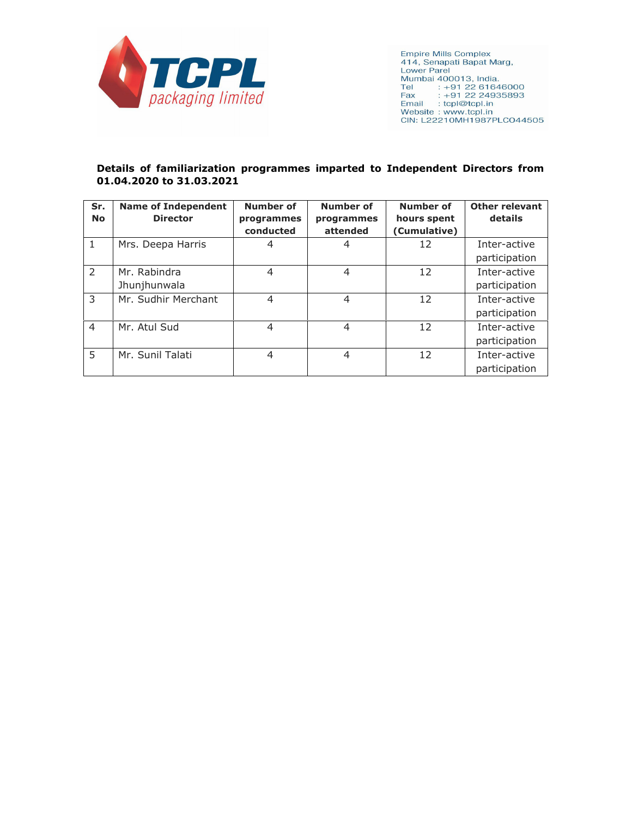

**Empire Mills Complex** 414, Senapati Bapat Marg, **Lower Parel** Mumbai 400013, India.<br>Tel : +91 22 61646000<br>Fax : +91 22 24935893 Fax: : +91 22 249<br>Email: : tcpl@tcpl.in<br>Website : www.tcpl.in CIN: L22210MH1987PLCO44505

#### **Details of familiarization programmes imparted to Independent Directors from 01.04.2020 to 31.03.2021**

| Sr.<br><b>No</b> | <b>Name of Independent</b><br><b>Director</b> | <b>Number of</b><br>programmes | <b>Number of</b><br>programmes | <b>Number of</b><br>hours spent | <b>Other relevant</b><br>details |
|------------------|-----------------------------------------------|--------------------------------|--------------------------------|---------------------------------|----------------------------------|
|                  |                                               | conducted                      | attended                       | (Cumulative)                    |                                  |
| 1                | Mrs. Deepa Harris                             | 4                              | 4                              | 12                              | Inter-active                     |
|                  |                                               |                                |                                |                                 | participation                    |
| 2                | Mr. Rabindra                                  | 4                              | 4                              | 12                              | Inter-active                     |
|                  | Jhunjhunwala                                  |                                |                                |                                 | participation                    |
| 3                | Mr. Sudhir Merchant                           | $\overline{4}$                 | 4                              | 12                              | Inter-active                     |
|                  |                                               |                                |                                |                                 | participation                    |
| $\overline{4}$   | Mr. Atul Sud                                  | $\overline{4}$                 | 4                              | 12                              | Inter-active                     |
|                  |                                               |                                |                                |                                 | participation                    |
| 5                | Mr. Sunil Talati                              | 4                              | 4                              | 12                              | Inter-active                     |
|                  |                                               |                                |                                |                                 | participation                    |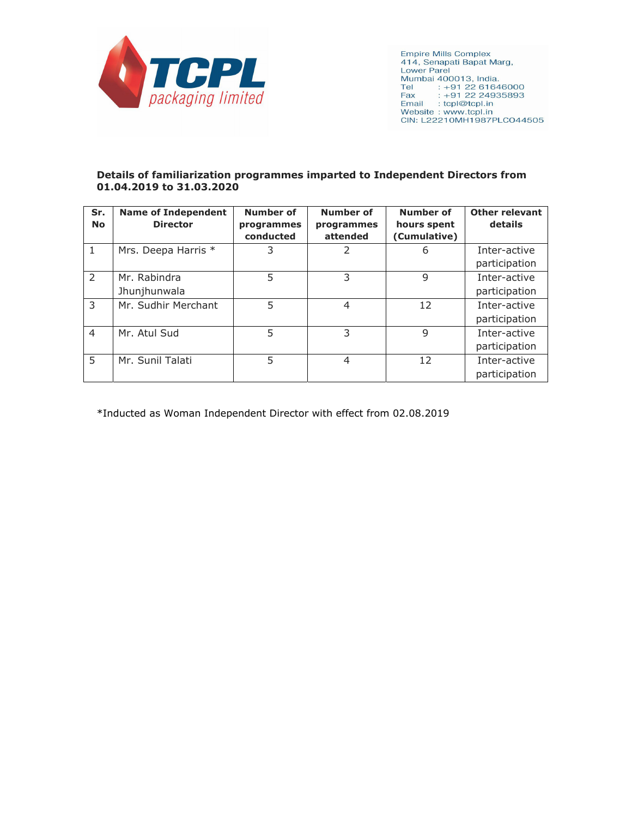

**Empire Mills Complex** 414, Senapati Bapat Marg, **Lower Parel** Lower Parel<br>Mumbai 400013, India.<br>Tel : +91 22 61646000<br>Fax : +91 22 24935893 Fax : +91 22 24935893<br>Email : tcpl@tcpl.in Website: www.tcpl.in CIN: L22210MH1987PLC044505

#### **Details of familiarization programmes imparted to Independent Directors from 01.04.2019 to 31.03.2020**

| Sr.<br><b>No</b> | <b>Name of Independent</b><br><b>Director</b> | <b>Number of</b><br>programmes<br>conducted | <b>Number of</b><br>programmes<br>attended | <b>Number of</b><br>hours spent<br>(Cumulative) | <b>Other relevant</b><br>details |
|------------------|-----------------------------------------------|---------------------------------------------|--------------------------------------------|-------------------------------------------------|----------------------------------|
| 1                | Mrs. Deepa Harris *                           | 3                                           | 2                                          | 6                                               | Inter-active<br>participation    |
| $\mathcal{P}$    | Mr. Rabindra<br>Jhunjhunwala                  | 5                                           | 3                                          | 9                                               | Inter-active<br>participation    |
| 3                | Mr. Sudhir Merchant                           | 5                                           | 4                                          | 12                                              | Inter-active<br>participation    |
| $\overline{4}$   | Mr. Atul Sud                                  | 5                                           | 3                                          | 9                                               | Inter-active<br>participation    |
| 5                | Mr. Sunil Talati                              | 5                                           | $\overline{4}$                             | 12                                              | Inter-active<br>participation    |

\*Inducted as Woman Independent Director with effect from 02.08.2019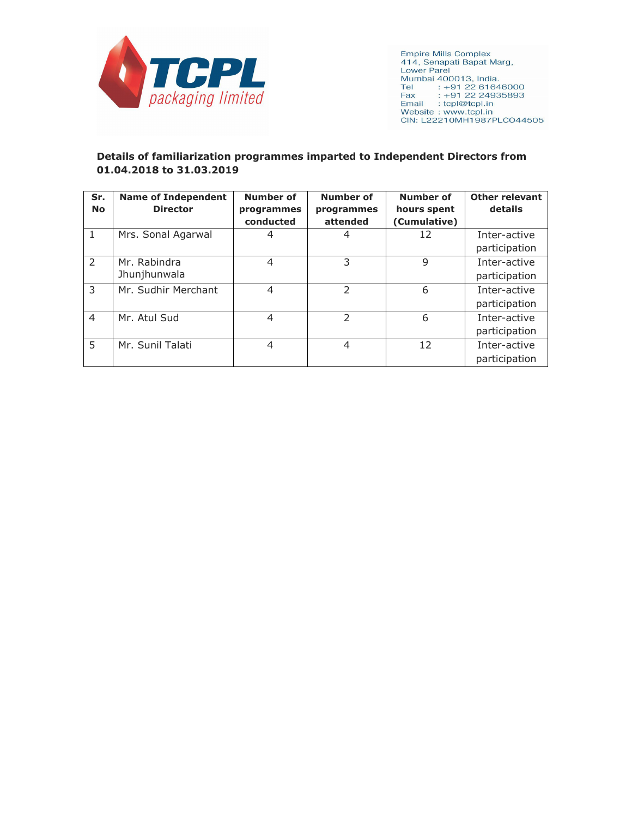

**Empire Mills Complex** 414, Senapati Bapat Marg, ----, John Dapat Mary,<br>
Lower Parel<br>
Mumbai 400013, India.<br>
Tel : --91 22 61646000<br>
Fax : -91 22 24935893<br>
Email : tcpl@tcpl.in Website: www.tcpl.in CIN: L22210MH1987PLC044505

# **Details of familiarization programmes imparted to Independent Directors from 01.04.2018 to 31.03.2019**

| Sr.<br><b>No</b> | <b>Name of Independent</b><br><b>Director</b> | <b>Number of</b><br>programmes<br>conducted | <b>Number of</b><br>programmes<br>attended | <b>Number of</b><br>hours spent<br>(Cumulative) | <b>Other relevant</b><br>details |
|------------------|-----------------------------------------------|---------------------------------------------|--------------------------------------------|-------------------------------------------------|----------------------------------|
| 1                | Mrs. Sonal Agarwal                            | 4                                           | 4                                          | 12                                              | Inter-active<br>participation    |
| $\mathcal{P}$    | Mr. Rabindra<br>Jhunjhunwala                  | 4                                           | 3                                          | 9                                               | Inter-active<br>participation    |
| 3                | Mr. Sudhir Merchant                           | $\overline{4}$                              | $\mathcal{P}$                              | 6                                               | Inter-active<br>participation    |
| $\overline{4}$   | Mr. Atul Sud                                  | 4                                           | $\mathcal{P}$                              | 6                                               | Inter-active<br>participation    |
| 5                | Mr. Sunil Talati                              | 4                                           | 4                                          | 12                                              | Inter-active<br>participation    |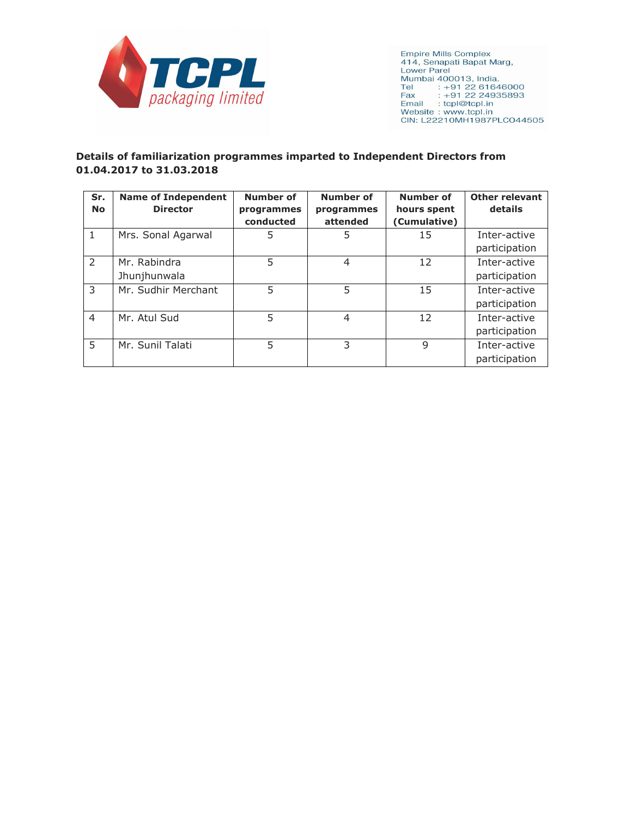

**Empire Mills Complex** 414, Senapati Bapat Marg, ----, Johna Bapat Mary,<br>
Lower Parel<br>
Mumbai 400013, India.<br>
Tel : --91 22 61646000<br>
Fax : --91 22 24935893<br>
Email : tcpl@tcpl.in Website: www.tcpl.in CIN: L22210MH1987PLC044505

## **Details of familiarization programmes imparted to Independent Directors from 01.04.2017 to 31.03.2018**

| Sr.<br><b>No</b> | <b>Name of Independent</b><br><b>Director</b> | <b>Number of</b><br>programmes<br>conducted | <b>Number of</b><br>programmes<br>attended | <b>Number of</b><br>hours spent<br>(Cumulative) | <b>Other relevant</b><br>details |
|------------------|-----------------------------------------------|---------------------------------------------|--------------------------------------------|-------------------------------------------------|----------------------------------|
| $\mathbf{1}$     | Mrs. Sonal Agarwal                            | 5                                           | 5                                          | 15                                              | Inter-active<br>participation    |
| $\mathcal{P}$    | Mr. Rabindra<br>Jhunjhunwala                  | 5                                           | $\overline{4}$                             | 12                                              | Inter-active<br>participation    |
| 3                | Mr. Sudhir Merchant                           | 5                                           | 5                                          | 15                                              | Inter-active<br>participation    |
| $\overline{4}$   | Mr. Atul Sud                                  | 5                                           | $\overline{4}$                             | 12                                              | Inter-active<br>participation    |
| 5                | Mr. Sunil Talati                              | 5                                           | 3                                          | 9                                               | Inter-active<br>participation    |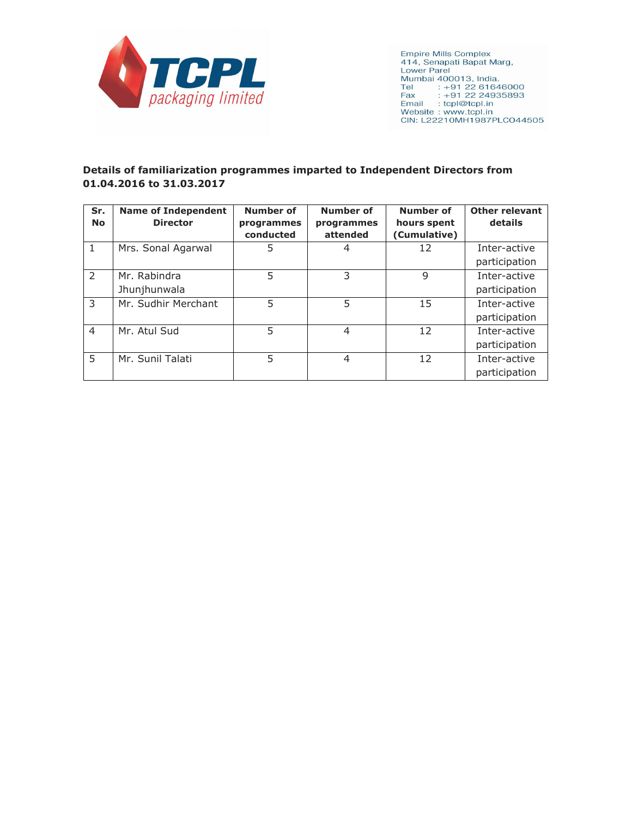

**Empire Mills Complex** 414, Senapati Bapat Marg, **Lower Parel** Fax : +91 22 249:<br>Email : tcpl@tcpl.in<br>Website : www.tcpl.in CIN: L22210MH1987PLCO44505

# **Details of familiarization programmes imparted to Independent Directors from 01.04.2016 to 31.03.2017**

| Sr.<br><b>No</b> | <b>Name of Independent</b><br><b>Director</b> | <b>Number of</b><br>programmes<br>conducted | <b>Number of</b><br>programmes<br>attended | <b>Number of</b><br>hours spent<br>(Cumulative) | <b>Other relevant</b><br>details |
|------------------|-----------------------------------------------|---------------------------------------------|--------------------------------------------|-------------------------------------------------|----------------------------------|
| 1                | Mrs. Sonal Agarwal                            | 5                                           | 4                                          | 12                                              | Inter-active<br>participation    |
| $\mathcal{L}$    | Mr. Rabindra<br>Jhunjhunwala                  | 5                                           | 3                                          | 9                                               | Inter-active<br>participation    |
| 3                | Mr. Sudhir Merchant                           | 5                                           | 5                                          | 15                                              | Inter-active<br>participation    |
| $\overline{4}$   | Mr. Atul Sud                                  | 5                                           | $\overline{4}$                             | 12                                              | Inter-active<br>participation    |
| 5                | Mr. Sunil Talati                              | 5                                           | $\overline{4}$                             | 12                                              | Inter-active<br>participation    |